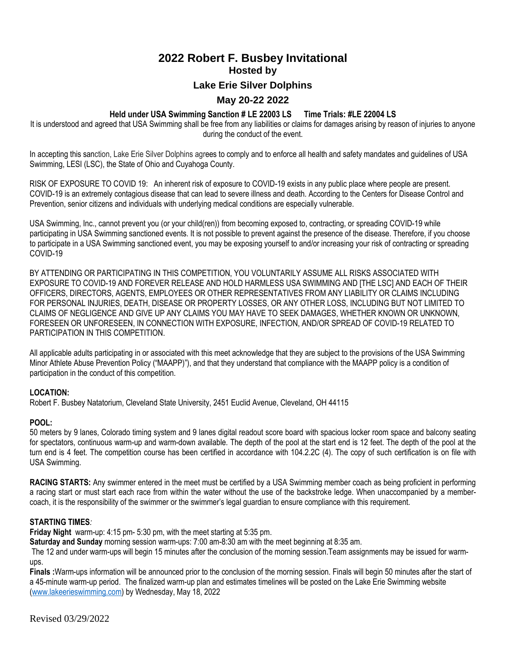# **2022 Robert F. Busbey Invitational Hosted by Lake Erie Silver Dolphins May 20-22 2022**

# **Held under USA Swimming Sanction # LE 22003 LS Time Trials: #LE 22004 LS**

It is understood and agreed that USA Swimming shall be free from any liabilities or claims for damages arising by reason of injuries to anyone during the conduct of the event.

In accepting this sanction, Lake Erie Silver Dolphins agrees to comply and to enforce all health and safety mandates and guidelines of USA Swimming, LESI (LSC), the State of Ohio and Cuyahoga County.

RISK OF EXPOSURE TO COVID 19: An inherent risk of exposure to COVID-19 exists in any public place where people are present. COVID-19 is an extremely contagious disease that can lead to severe illness and death. According to the Centers for Disease Control and Prevention, senior citizens and individuals with underlying medical conditions are especially vulnerable.

USA Swimming, Inc., cannot prevent you (or your child(ren)) from becoming exposed to, contracting, or spreading COVID-19 while participating in USA Swimming sanctioned events. It is not possible to prevent against the presence of the disease. Therefore, if you choose to participate in a USA Swimming sanctioned event, you may be exposing yourself to and/or increasing your risk of contracting or spreading COVID-19

BY ATTENDING OR PARTICIPATING IN THIS COMPETITION, YOU VOLUNTARILY ASSUME ALL RISKS ASSOCIATED WITH EXPOSURE TO COVID-19 AND FOREVER RELEASE AND HOLD HARMLESS USA SWIMMING AND [THE LSC] AND EACH OF THEIR OFFICERS, DIRECTORS, AGENTS, EMPLOYEES OR OTHER REPRESENTATIVES FROM ANY LIABILITY OR CLAIMS INCLUDING FOR PERSONAL INJURIES, DEATH, DISEASE OR PROPERTY LOSSES, OR ANY OTHER LOSS, INCLUDING BUT NOT LIMITED TO CLAIMS OF NEGLIGENCE AND GIVE UP ANY CLAIMS YOU MAY HAVE TO SEEK DAMAGES, WHETHER KNOWN OR UNKNOWN, FORESEEN OR UNFORESEEN, IN CONNECTION WITH EXPOSURE, INFECTION, AND/OR SPREAD OF COVID-19 RELATED TO PARTICIPATION IN THIS COMPETITION.

All applicable adults participating in or associated with this meet acknowledge that they are subject to the provisions of the USA Swimming Minor Athlete Abuse Prevention Policy ("MAAPP)"), and that they understand that compliance with the MAAPP policy is a condition of participation in the conduct of this competition.

## **LOCATION:**

Robert F. Busbey Natatorium, Cleveland State University, 2451 Euclid Avenue, Cleveland, OH 44115

## **POOL:**

50 meters by 9 lanes, Colorado timing system and 9 lanes digital readout score board with spacious locker room space and balcony seating for spectators, continuous warm-up and warm-down available. The depth of the pool at the start end is 12 feet. The depth of the pool at the turn end is 4 feet. The competition course has been certified in accordance with 104.2.2C (4). The copy of such certification is on file with USA Swimming.

**RACING STARTS:** Any swimmer entered in the meet must be certified by a USA Swimming member coach as being proficient in performing a racing start or must start each race from within the water without the use of the backstroke ledge. When unaccompanied by a membercoach, it is the responsibility of the swimmer or the swimmer's legal guardian to ensure compliance with this requirement.

## **STARTING TIMES***:*

**Friday Night** warm-up: 4:15 pm- 5:30 pm, with the meet starting at 5:35 pm.

**Saturday and Sunday** morning session warm-ups: 7:00 am-8:30 am with the meet beginning at 8:35 am.

The 12 and under warm-ups will begin 15 minutes after the conclusion of the morning session.Team assignments may be issued for warmups.

Finals : Warm-ups information will be announced prior to the conclusion of the morning session. Finals will begin 50 minutes after the start of a 45-minute warm-up period. The finalized warm-up plan and estimates timelines will be posted on the Lake Erie Swimming website [\(www.lakeerieswimming.com\)](http://www.lakeerieswimming.com/) by Wednesday, May 18, 2022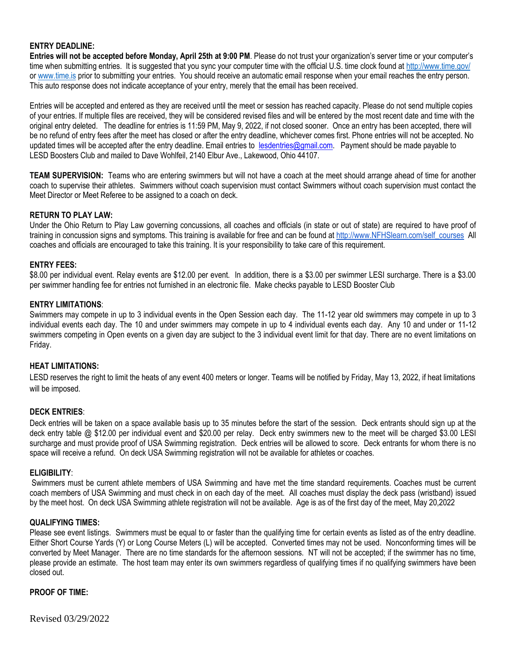## **ENTRY DEADLINE:**

**Entries will not be accepted before Monday, April 25th at 9:00 PM**. Please do not trust your organization's server time or your computer's time when submitting entries. It is suggested that you sync your computer time with the official U.S. time clock found a[t http://www.time.gov/](http://www.time.gov/) or [www.time.is](http://www.time.is/) prior to submitting your entries. You should receive an automatic email response when your email reaches the entry person. This auto response does not indicate acceptance of your entry, merely that the email has been received.

Entries will be accepted and entered as they are received until the meet or session has reached capacity. Please do not send multiple copies of your entries. If multiple files are received, they will be considered revised files and will be entered by the most recent date and time with the original entry deleted. The deadline for entries is 11:59 PM, May 9, 2022, if not closed sooner. Once an entry has been accepted, there will be no refund of entry fees after the meet has closed or after the entry deadline, whichever comes first. Phone entries will not be accepted. No updated times will be accepted after the entry deadline. Email entries to [lesdentries@gmail.com.](mailto:lesdentries@gmail.com) Payment should be made payable to LESD Boosters Club and mailed to Dave Wohlfeil, 2140 Elbur Ave., Lakewood, Ohio 44107.

**TEAM SUPERVISION:** Teams who are entering swimmers but will not have a coach at the meet should arrange ahead of time for another coach to supervise their athletes. Swimmers without coach supervision must contact Swimmers without coach supervision must contact the Meet Director or Meet Referee to be assigned to a coach on deck.

## **RETURN TO PLAY LAW:**

Under the Ohio Return to Play Law governing concussions, all coaches and officials (in state or out of state) are required to have proof of training in concussion signs and symptoms. This training is available for free and can be found at [http://www.NFHSlearn.com/self\\_courses](http://www.nfhslearn.com/self_courses) All coaches and officials are encouraged to take this training. It is your responsibility to take care of this requirement.

## **ENTRY FEES:**

\$8.00 per individual event. Relay events are \$12.00 per event. In addition, there is a \$3.00 per swimmer LESI surcharge. There is a \$3.00 per swimmer handling fee for entries not furnished in an electronic file. Make checks payable to LESD Booster Club

## **ENTRY LIMITATIONS**:

Swimmers may compete in up to 3 individual events in the Open Session each day. The 11-12 year old swimmers may compete in up to 3 individual events each day. The 10 and under swimmers may compete in up to 4 individual events each day. Any 10 and under or 11-12 swimmers competing in Open events on a given day are subject to the 3 individual event limit for that day. There are no event limitations on Friday.

### **HEAT LIMITATIONS:**

LESD reserves the right to limit the heats of any event 400 meters or longer. Teams will be notified by Friday, May 13, 2022, if heat limitations will be imposed.

### **DECK ENTRIES**:

Deck entries will be taken on a space available basis up to 35 minutes before the start of the session. Deck entrants should sign up at the deck entry table @ \$12.00 per individual event and \$20.00 per relay. Deck entry swimmers new to the meet will be charged \$3.00 LESI surcharge and must provide proof of USA Swimming registration. Deck entries will be allowed to score. Deck entrants for whom there is no space will receive a refund. On deck USA Swimming registration will not be available for athletes or coaches.

### **ELIGIBILITY**:

Swimmers must be current athlete members of USA Swimming and have met the time standard requirements. Coaches must be current coach members of USA Swimming and must check in on each day of the meet. All coaches must display the deck pass (wristband) issued by the meet host. On deck USA Swimming athlete registration will not be available. Age is as of the first day of the meet, May 20,2022

### **QUALIFYING TIMES:**

Please see event listings. Swimmers must be equal to or faster than the qualifying time for certain events as listed as of the entry deadline*.*  Either Short Course Yards (Y) or Long Course Meters (L) will be accepted. Converted times may not be used. Nonconforming times will be converted by Meet Manager. There are no time standards for the afternoon sessions. NT will not be accepted; if the swimmer has no time, please provide an estimate. The host team may enter its own swimmers regardless of qualifying times if no qualifying swimmers have been closed out.

### **PROOF OF TIME:**

Revised 03/29/2022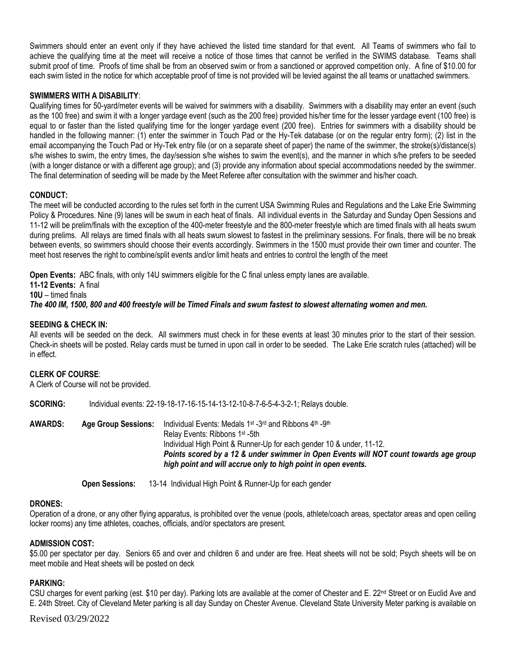Swimmers should enter an event only if they have achieved the listed time standard for that event. All Teams of swimmers who fail to achieve the qualifying time at the meet will receive a notice of those times that cannot be verified in the SWIMS database. Teams shall submit proof of time. Proofs of time shall be from an observed swim or from a sanctioned or approved competition only. A fine of \$10.00 for each swim listed in the notice for which acceptable proof of time is not provided will be levied against the all teams or unattached swimmers.

# **SWIMMERS WITH A DISABILITY**:

Qualifying times for 50-yard/meter events will be waived for swimmers with a disability. Swimmers with a disability may enter an event (such as the 100 free) and swim it with a longer yardage event (such as the 200 free) provided his/her time for the lesser yardage event (100 free) is equal to or faster than the listed qualifying time for the longer yardage event (200 free). Entries for swimmers with a disability should be handled in the following manner: (1) enter the swimmer in Touch Pad or the Hy-Tek database (or on the regular entry form); (2) list in the email accompanying the Touch Pad or Hy-Tek entry file (or on a separate sheet of paper) the name of the swimmer, the stroke(s)/distance(s) s/he wishes to swim, the entry times, the day/session s/he wishes to swim the event(s), and the manner in which s/he prefers to be seeded (with a longer distance or with a different age group); and (3) provide any information about special accommodations needed by the swimmer. The final determination of seeding will be made by the Meet Referee after consultation with the swimmer and his/her coach.

## **CONDUCT:**

The meet will be conducted according to the rules set forth in the current USA Swimming Rules and Regulations and the Lake Erie Swimming Policy & Procedures. Nine (9) lanes will be swum in each heat of finals. All individual events in the Saturday and Sunday Open Sessions and 11-12 will be prelim/finals with the exception of the 400-meter freestyle and the 800-meter freestyle which are timed finals with all heats swum during prelims. All relays are timed finals with all heats swum slowest to fastest in the preliminary sessions. For finals, there will be no break between events, so swimmers should choose their events accordingly. Swimmers in the 1500 must provide their own timer and counter. The meet host reserves the right to combine/split events and/or limit heats and entries to control the length of the meet

**Open Events:** ABC finals, with only 14U swimmers eligible for the C final unless empty lanes are available. **11-12 Events:** A final

**10U** – timed finals

*The 400 IM, 1500, 800 and 400 freestyle will be Timed Finals and swum fastest to slowest alternating women and men.* 

## **SEEDING & CHECK IN:**

All events will be seeded on the deck. All swimmers must check in for these events at least 30 minutes prior to the start of their session. Check-in sheets will be posted. Relay cards must be turned in upon call in order to be seeded. The Lake Erie scratch rules (attached) will be in effect.

## **CLERK OF COURSE**:

A Clerk of Course will not be provided.

**SCORING:** Individual events: 22-19-18-17-16-15-14-13-12-10-8-7-6-5-4-3-2-1; Relays double.

**AWARDS: Age Group Sessions:** Individual Events: Medals 1st -3<sup>rd</sup> and Ribbons 4th -9th Relay Events: Ribbons 1st -5th Individual High Point & Runner-Up for each gender 10 & under, 11-12. *Points scored by a 12 & under swimmer in Open Events will NOT count towards age group high point and will accrue only to high point in open events.*

**Open Sessions:** 13-14 Individual High Point & Runner-Up for each gender

## **DRONES:**

Operation of a drone, or any other flying apparatus, is prohibited over the venue (pools, athlete/coach areas, spectator areas and open ceiling locker rooms) any time athletes, coaches, officials, and/or spectators are present.

### **ADMISSION COST:**

\$5.00 per spectator per day. Seniors 65 and over and children 6 and under are free. Heat sheets will not be sold; Psych sheets will be on meet mobile and Heat sheets will be posted on deck

### **PARKING:**

CSU charges for event parking (est. \$10 per day). Parking lots are available at the corner of Chester and E. 22<sup>nd</sup> Street or on Euclid Ave and E. 24th Street. City of Cleveland Meter parking is all day Sunday on Chester Avenue. Cleveland State University Meter parking is available on

Revised 03/29/2022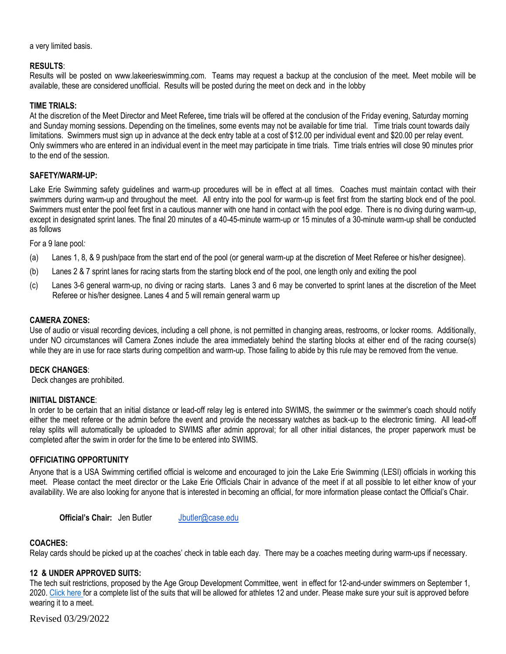a very limited basis.

## **RESULTS**:

Results will be posted on www.lakeerieswimming.com. Teams may request a backup at the conclusion of the meet. Meet mobile will be available, these are considered unofficial. Results will be posted during the meet on deck and in the lobby

## **TIME TRIALS:**

At the discretion of the Meet Director and Meet Referee**,** time trials will be offered at the conclusion of the Friday evening, Saturday morning and Sunday morning sessions. Depending on the timelines, some events may not be available for time trial. Time trials count towards daily limitations. Swimmers must sign up in advance at the deck entry table at a cost of \$12.00 per individual event and \$20.00 per relay event. Only swimmers who are entered in an individual event in the meet may participate in time trials. Time trials entries will close 90 minutes prior to the end of the session.

## **SAFETY/WARM-UP:**

Lake Erie Swimming safety guidelines and warm-up procedures will be in effect at all times. Coaches must maintain contact with their swimmers during warm-up and throughout the meet. All entry into the pool for warm-up is feet first from the starting block end of the pool. Swimmers must enter the pool feet first in a cautious manner with one hand in contact with the pool edge. There is no diving during warm-up, except in designated sprint lanes. The final 20 minutes of a 40-45-minute warm-up *o*r 15 minutes of a 30-minute warm-up shall be conducted as follows

For a 9 lane pool*:*

- (a) Lanes 1, 8, & 9 push/pace from the start end of the pool (or general warm-up at the discretion of Meet Referee or his/her designee).
- (b) Lanes 2 & 7 sprint lanes for racing starts from the starting block end of the pool, one length only and exiting the pool
- (c) Lanes 3-6 general warm-up, no diving or racing starts. Lanes 3 and 6 may be converted to sprint lanes at the discretion of the Meet Referee or his/her designee. Lanes 4 and 5 will remain general warm up

## **CAMERA ZONES:**

Use of audio or visual recording devices, including a cell phone, is not permitted in changing areas, restrooms, or locker rooms. Additionally, under NO circumstances will Camera Zones include the area immediately behind the starting blocks at either end of the racing course(s) while they are in use for race starts during competition and warm-up. Those failing to abide by this rule may be removed from the venue.

## **DECK CHANGES**:

Deck changes are prohibited.

### **INIITIAL DISTANCE**:

In order to be certain that an initial distance or lead-off relay leg is entered into SWIMS, the swimmer or the swimmer's coach should notify either the meet referee or the admin before the event and provide the necessary watches as back-up to the electronic timing. All lead-off relay splits will automatically be uploaded to SWIMS after admin approval; for all other initial distances, the proper paperwork must be completed after the swim in order for the time to be entered into SWIMS.

## **OFFICIATING OPPORTUNITY**

Anyone that is a USA Swimming certified official is welcome and encouraged to join the Lake Erie Swimming (LESI) officials in working this meet. Please contact the meet director or the Lake Erie Officials Chair in advance of the meet if at all possible to let either know of your availability. We are also looking for anyone that is interested in becoming an official, for more information please contact the Official's Chair.

**Official's Chair:** Jen Butler [Jbutler@case.edu](mailto:Jbutler@case.edu)

### **COACHES:**

Relay cards should be picked up at the coaches' check in table each day. There may be a coaches meeting during warm-ups if necessary.

## **12 & UNDER APPROVED SUITS:**

The tech suit restrictions, proposed by the Age Group Development Committee, went in effect for 12-and-under swimmers on September 1, 2020. [Click here f](https://www.usaswimming.org/news/2020/08/24/tech-suit-restriction-for-12-and-under-swimmers)or a complete list of the suits that will be allowed for athletes 12 and under. Please make sure your suit is approved before wearing it to a meet.

Revised 03/29/2022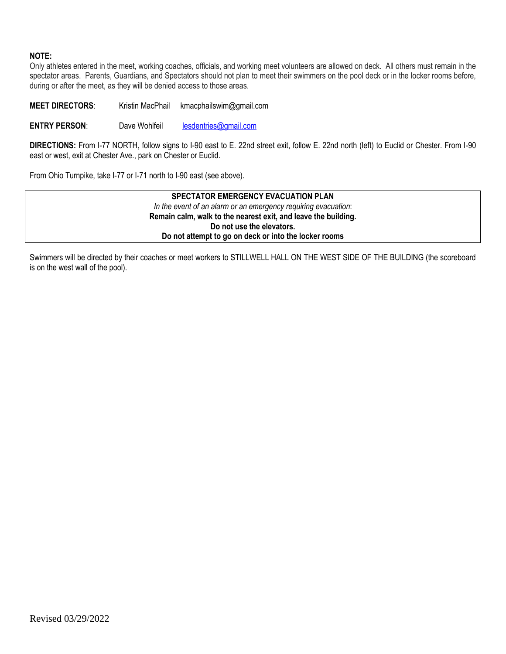# **NOTE:**

Only athletes entered in the meet, working coaches, officials, and working meet volunteers are allowed on deck. All others must remain in the spectator areas. Parents, Guardians, and Spectators should not plan to meet their swimmers on the pool deck or in the locker rooms before, during or after the meet, as they will be denied access to those areas.

**MEET DIRECTORS**: Kristin MacPhail kmacphailswim@gmail.com

**ENTRY PERSON:** Dave Wohlfeil [lesdentries@gmail.com](mailto:lesdentries@gmail.com)

**DIRECTIONS:** From I-77 NORTH, follow signs to I-90 east to E. 22nd street exit, follow E. 22nd north (left) to Euclid or Chester. From I-90 east or west, exit at Chester Ave., park on Chester or Euclid.

From Ohio Turnpike, take I-77 or I-71 north to I-90 east (see above).

**SPECTATOR EMERGENCY EVACUATION PLAN** *In the event of an alarm or an emergency requiring evacuation*: **Remain calm, walk to the nearest exit, and leave the building. Do not use the elevators. Do not attempt to go on deck or into the locker rooms**

Swimmers will be directed by their coaches or meet workers to STILLWELL HALL ON THE WEST SIDE OF THE BUILDING (the scoreboard is on the west wall of the pool).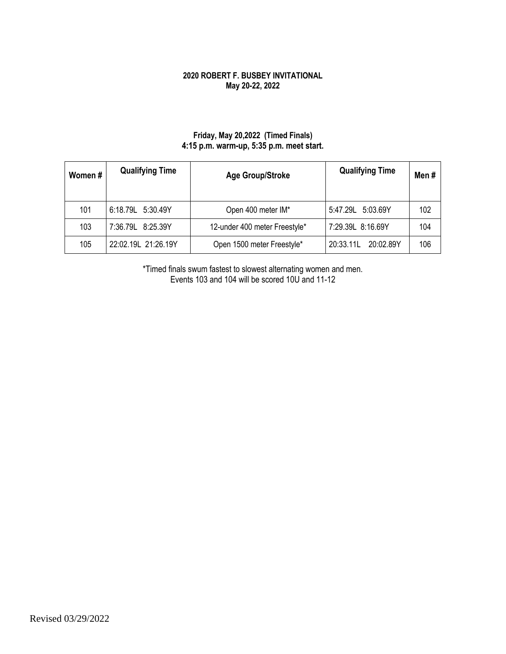# **2020 ROBERT F. BUSBEY INVITATIONAL May 20-22, 2022**

# **Friday, May 20,2022 (Timed Finals) 4:15 p.m. warm-up, 5:35 p.m. meet start.**

| Women# | <b>Qualifying Time</b> | Age Group/Stroke              | <b>Qualifying Time</b> | Men# |
|--------|------------------------|-------------------------------|------------------------|------|
| 101    | 6:18.79L 5:30.49Y      | Open 400 meter IM*            | 5:47.29L 5:03.69Y      | 102  |
| 103    | 7:36.79L 8:25.39Y      | 12-under 400 meter Freestyle* | 7:29.39L 8:16.69Y      | 104  |
| 105    | 22:02.19L 21:26.19Y    | Open 1500 meter Freestyle*    | 20:33.11L<br>20:02.89Y | 106  |

\*Timed finals swum fastest to slowest alternating women and men. Events 103 and 104 will be scored 10U and 11-12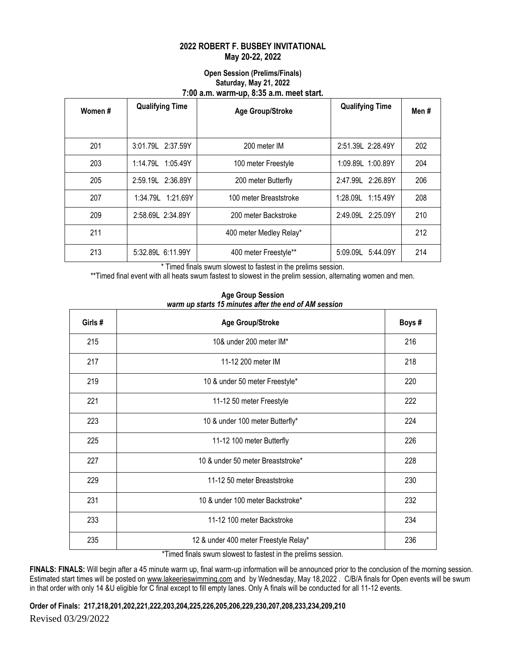# **2022 ROBERT F. BUSBEY INVITATIONAL May 20-22, 2022**

## **Open Session (Prelims/Finals) Saturday, May 21, 2022 7:00 a.m. warm-up, 8:35 a.m. meet start.**

| Women# | <b>Qualifying Time</b> | <b>Age Group/Stroke</b> | <b>Qualifying Time</b> | Men# |
|--------|------------------------|-------------------------|------------------------|------|
|        |                        |                         |                        |      |
| 201    | 3:01.79L 2:37.59Y      | 200 meter IM            | 2:51.39L 2:28.49Y      | 202  |
| 203    | 1:14.79L 1:05.49Y      | 100 meter Freestyle     | 1:09.89L 1:00.89Y      | 204  |
| 205    | 2:59.19L 2:36.89Y      | 200 meter Butterfly     | 2:47.99L 2:26.89Y      | 206  |
| 207    | 1:34.79L 1:21.69Y      | 100 meter Breaststroke  | 1:28.09L<br>1:15.49Y   | 208  |
| 209    | 2:58.69L 2:34.89Y      | 200 meter Backstroke    | 2:49.09L 2:25.09Y      | 210  |
| 211    |                        | 400 meter Medley Relay* |                        | 212  |
| 213    | 5:32.89L 6:11.99Y      | 400 meter Freestyle**   | 5:09.09L<br>5:44.09Y   | 214  |

\* Timed finals swum slowest to fastest in the prelims session.

\*\*Timed final event with all heats swum fastest to slowest in the prelim session, alternating women and men.

| Girls # | <b>Age Group/Stroke</b>               |     |  |  |
|---------|---------------------------------------|-----|--|--|
| 215     | 10& under 200 meter IM*               | 216 |  |  |
| 217     | 11-12 200 meter IM                    | 218 |  |  |
| 219     | 10 & under 50 meter Freestyle*        | 220 |  |  |
| 221     | 11-12 50 meter Freestyle              | 222 |  |  |
| 223     | 10 & under 100 meter Butterfly*       | 224 |  |  |
| 225     | 11-12 100 meter Butterfly             | 226 |  |  |
| 227     | 10 & under 50 meter Breaststroke*     | 228 |  |  |
| 229     | 11-12 50 meter Breaststroke           | 230 |  |  |
| 231     | 10 & under 100 meter Backstroke*      | 232 |  |  |
| 233     | 11-12 100 meter Backstroke            | 234 |  |  |
| 235     | 12 & under 400 meter Freestyle Relay* | 236 |  |  |

**Age Group Session**   *warm up starts 15 minutes after the end of AM session*

\*Timed finals swum slowest to fastest in the prelims session.

**FINALS: FINALS:** Will begin after a 45 minute warm up, final warm-up information will be announced prior to the conclusion of the morning session. Estimated start times will be posted on [www.lakeerieswimming.com](http://www.lakeerieswimming.com/) and by Wednesday, May 18,2022 . C/B/A finals for Open events will be swum in that order with only 14 &U eligible for C final except to fill empty lanes. Only A finals will be conducted for all 11-12 events.

Revised 03/29/2022 **Order of Finals: 217,218,201,202,221,222,203,204,225,226,205,206,229,230,207,208,233,234,209,210**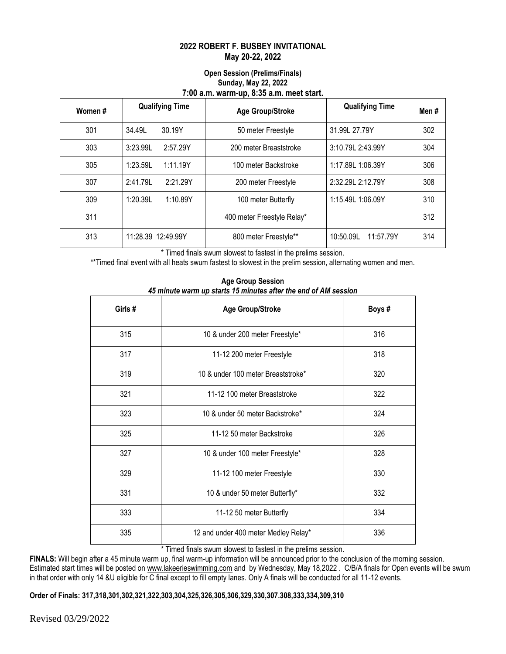# **2022 ROBERT F. BUSBEY INVITATIONAL May 20-22, 2022**

## **Open Session (Prelims/Finals) Sunday, May 22, 2022 7:00 a.m. warm-up, 8:35 a.m. meet start.**

| Women# | <b>Qualifying Time</b> | <b>Age Group/Stroke</b>    | <b>Qualifying Time</b> | Men # |
|--------|------------------------|----------------------------|------------------------|-------|
| 301    | 34.49L<br>30.19Y       | 50 meter Freestyle         | 31.99L 27.79Y          | 302   |
| 303    | 2:57.29Y<br>3:23.99L   | 200 meter Breaststroke     | 3:10.79L 2:43.99Y      | 304   |
| 305    | 1:23.59L<br>1:11.19Y   | 100 meter Backstroke       | 1:17.89L 1:06.39Y      | 306   |
| 307    | 2:21.29Y<br>2:41.79    | 200 meter Freestyle        | 2:32.29L 2:12.79Y      | 308   |
| 309    | 1:20.39L<br>1:10.89Y   | 100 meter Butterfly        | 1:15.49L 1:06.09Y      | 310   |
| 311    |                        | 400 meter Freestyle Relay* |                        | 312   |
| 313    | 11:28.39 12:49.99Y     | 800 meter Freestyle**      | 10:50.09L<br>11:57.79Y | 314   |

\* Timed finals swum slowest to fastest in the prelims session.

\*\*Timed final event with all heats swum fastest to slowest in the prelim session, alternating women and men.

| Girls # | <b>Age Group/Stroke</b>              |     |  |
|---------|--------------------------------------|-----|--|
| 315     | 10 & under 200 meter Freestyle*      | 316 |  |
| 317     | 11-12 200 meter Freestyle            | 318 |  |
| 319     | 10 & under 100 meter Breaststroke*   | 320 |  |
| 321     | 11-12 100 meter Breaststroke         | 322 |  |
| 323     | 10 & under 50 meter Backstroke*      | 324 |  |
| 325     | 11-12 50 meter Backstroke            | 326 |  |
| 327     | 10 & under 100 meter Freestyle*      | 328 |  |
| 329     | 11-12 100 meter Freestyle            | 330 |  |
| 331     | 10 & under 50 meter Butterfly*       | 332 |  |
| 333     | 11-12 50 meter Butterfly             | 334 |  |
| 335     | 12 and under 400 meter Medley Relay* | 336 |  |

**Age Group Session**  *45 minute warm up starts 15 minutes after the end of AM session*

\* Timed finals swum slowest to fastest in the prelims session.

FINALS: Will begin after a 45 minute warm up, final warm-up information will be announced prior to the conclusion of the morning session. Estimated start times will be posted on [www.lakeerieswimming.com](http://www.lakeerieswimming.com/) and by Wednesday, May 18,2022 . C/B/A finals for Open events will be swum in that order with only 14 &U eligible for C final except to fill empty lanes. Only A finals will be conducted for all 11-12 events.

**Order of Finals: 317,318,301,302,321,322,303,304,325,326,305,306,329,330,307.308,333,334,309,310**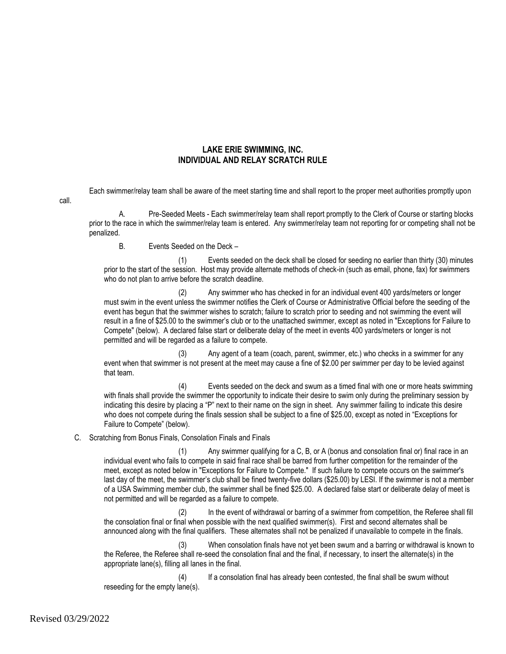## **LAKE ERIE SWIMMING, INC. INDIVIDUAL AND RELAY SCRATCH RULE**

Each swimmer/relay team shall be aware of the meet starting time and shall report to the proper meet authorities promptly upon

call.

A. Pre-Seeded Meets - Each swimmer/relay team shall report promptly to the Clerk of Course or starting blocks prior to the race in which the swimmer/relay team is entered. Any swimmer/relay team not reporting for or competing shall not be penalized.

B. Events Seeded on the Deck –

(1) Events seeded on the deck shall be closed for seeding no earlier than thirty (30) minutes prior to the start of the session. Host may provide alternate methods of check-in (such as email, phone, fax) for swimmers who do not plan to arrive before the scratch deadline.

(2) Any swimmer who has checked in for an individual event 400 yards/meters or longer must swim in the event unless the swimmer notifies the Clerk of Course or Administrative Official before the seeding of the event has begun that the swimmer wishes to scratch; failure to scratch prior to seeding and not swimming the event will result in a fine of \$25.00 to the swimmer's club or to the unattached swimmer, except as noted in "Exceptions for Failure to Compete" (below). A declared false start or deliberate delay of the meet in events 400 yards/meters or longer is not permitted and will be regarded as a failure to compete.

(3) Any agent of a team (coach, parent, swimmer, etc.) who checks in a swimmer for any event when that swimmer is not present at the meet may cause a fine of \$2.00 per swimmer per day to be levied against that team.

(4) Events seeded on the deck and swum as a timed final with one or more heats swimming with finals shall provide the swimmer the opportunity to indicate their desire to swim only during the preliminary session by indicating this desire by placing a "P" next to their name on the sign in sheet. Any swimmer failing to indicate this desire who does not compete during the finals session shall be subject to a fine of \$25.00, except as noted in "Exceptions for Failure to Compete" (below).

### C. Scratching from Bonus Finals, Consolation Finals and Finals

(1) Any swimmer qualifying for a C, B, or A (bonus and consolation final or) final race in an individual event who fails to compete in said final race shall be barred from further competition for the remainder of the meet, except as noted below in "Exceptions for Failure to Compete." If such failure to compete occurs on the swimmer's last day of the meet, the swimmer's club shall be fined twenty-five dollars (\$25.00) by LESI. If the swimmer is not a member of a USA Swimming member club, the swimmer shall be fined \$25.00. A declared false start or deliberate delay of meet is not permitted and will be regarded as a failure to compete.

In the event of withdrawal or barring of a swimmer from competition, the Referee shall fill the consolation final or final when possible with the next qualified swimmer(s). First and second alternates shall be announced along with the final qualifiers. These alternates shall not be penalized if unavailable to compete in the finals.

(3) When consolation finals have not yet been swum and a barring or withdrawal is known to the Referee, the Referee shall re-seed the consolation final and the final, if necessary, to insert the alternate(s) in the appropriate lane(s), filling all lanes in the final.

(4) If a consolation final has already been contested, the final shall be swum without reseeding for the empty lane(s).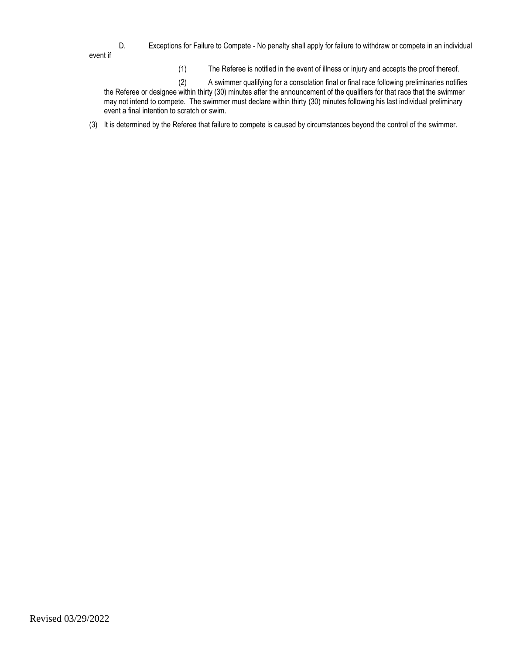D. Exceptions for Failure to Compete - No penalty shall apply for failure to withdraw or compete in an individual event if

(1) The Referee is notified in the event of illness or injury and accepts the proof thereof.

(2) A swimmer qualifying for a consolation final or final race following preliminaries notifies the Referee or designee within thirty (30) minutes after the announcement of the qualifiers for that race that the swimmer may not intend to compete. The swimmer must declare within thirty (30) minutes following his last individual preliminary event a final intention to scratch or swim.

(3) It is determined by the Referee that failure to compete is caused by circumstances beyond the control of the swimmer.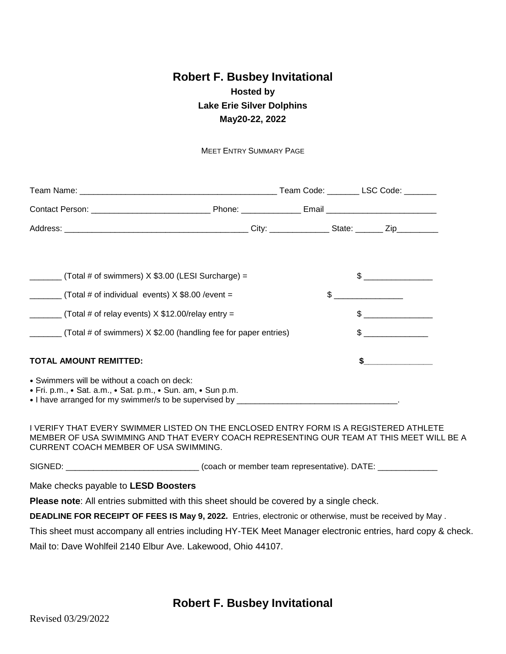# **Robert F. Busbey Invitational Hosted by Lake Erie Silver Dolphins May20-22, 2022**

MEET ENTRY SUMMARY PAGE

| $\frac{1}{1}$ (Total # of swimmers) X \$3.00 (LESI Surcharge) =                                                                                                                                                            |  |                                                                                                                                                                                                                                                                                                                                                                     | $\frac{1}{2}$                                                                                                                                                                                                                                                                                                                                                                                                                   |
|----------------------------------------------------------------------------------------------------------------------------------------------------------------------------------------------------------------------------|--|---------------------------------------------------------------------------------------------------------------------------------------------------------------------------------------------------------------------------------------------------------------------------------------------------------------------------------------------------------------------|---------------------------------------------------------------------------------------------------------------------------------------------------------------------------------------------------------------------------------------------------------------------------------------------------------------------------------------------------------------------------------------------------------------------------------|
| $\frac{1}{2}$ (Total # of individual events) X \$8.00 / event =                                                                                                                                                            |  | $\begin{picture}(20,10) \put(0,0){\vector(1,0){100}} \put(15,0){\vector(1,0){100}} \put(15,0){\vector(1,0){100}} \put(15,0){\vector(1,0){100}} \put(15,0){\vector(1,0){100}} \put(15,0){\vector(1,0){100}} \put(15,0){\vector(1,0){100}} \put(15,0){\vector(1,0){100}} \put(15,0){\vector(1,0){100}} \put(15,0){\vector(1,0){100}} \put(15,0){\vector(1,0){100}} \$ |                                                                                                                                                                                                                                                                                                                                                                                                                                 |
| $\Box$ (Total # of relay events) X \$12.00/relay entry =                                                                                                                                                                   |  |                                                                                                                                                                                                                                                                                                                                                                     | $\begin{picture}(20,10) \put(0,0){\line(1,0){10}} \put(15,0){\line(1,0){10}} \put(15,0){\line(1,0){10}} \put(15,0){\line(1,0){10}} \put(15,0){\line(1,0){10}} \put(15,0){\line(1,0){10}} \put(15,0){\line(1,0){10}} \put(15,0){\line(1,0){10}} \put(15,0){\line(1,0){10}} \put(15,0){\line(1,0){10}} \put(15,0){\line(1,0){10}} \put(15,0){\line(1$                                                                             |
| (Total # of swimmers) X \$2.00 (handling fee for paper entries)                                                                                                                                                            |  |                                                                                                                                                                                                                                                                                                                                                                     | $\frac{1}{\sqrt{1-\frac{1}{2}}}\frac{1}{\sqrt{1-\frac{1}{2}}}\frac{1}{\sqrt{1-\frac{1}{2}}}\frac{1}{\sqrt{1-\frac{1}{2}}}\frac{1}{\sqrt{1-\frac{1}{2}}}\frac{1}{\sqrt{1-\frac{1}{2}}}\frac{1}{\sqrt{1-\frac{1}{2}}}\frac{1}{\sqrt{1-\frac{1}{2}}}\frac{1}{\sqrt{1-\frac{1}{2}}}\frac{1}{\sqrt{1-\frac{1}{2}}}\frac{1}{\sqrt{1-\frac{1}{2}}}\frac{1}{\sqrt{1-\frac{1}{2}}}\frac{1}{\sqrt{1-\frac{1}{2}}}\frac{1}{\sqrt{1-\frac{$ |
| TOTAL AMOUNT REMITTED:                                                                                                                                                                                                     |  |                                                                                                                                                                                                                                                                                                                                                                     | $\sim$                                                                                                                                                                                                                                                                                                                                                                                                                          |
| • Swimmers will be without a coach on deck:<br>• Fri. p.m., • Sat. a.m., • Sat. p.m., • Sun. am, • Sun p.m.                                                                                                                |  |                                                                                                                                                                                                                                                                                                                                                                     |                                                                                                                                                                                                                                                                                                                                                                                                                                 |
| I VERIFY THAT EVERY SWIMMER LISTED ON THE ENCLOSED ENTRY FORM IS A REGISTERED ATHLETE<br>MEMBER OF USA SWIMMING AND THAT EVERY COACH REPRESENTING OUR TEAM AT THIS MEET WILL BE A<br>CURRENT COACH MEMBER OF USA SWIMMING. |  |                                                                                                                                                                                                                                                                                                                                                                     |                                                                                                                                                                                                                                                                                                                                                                                                                                 |
| SIGNED: _______________________________(coach or member team representative). DATE: _______________                                                                                                                        |  |                                                                                                                                                                                                                                                                                                                                                                     |                                                                                                                                                                                                                                                                                                                                                                                                                                 |
| Make checks payable to LESD Boosters                                                                                                                                                                                       |  |                                                                                                                                                                                                                                                                                                                                                                     |                                                                                                                                                                                                                                                                                                                                                                                                                                 |
| <b>Please note:</b> All entries submitted with this sheet should be covered by a single check.                                                                                                                             |  |                                                                                                                                                                                                                                                                                                                                                                     |                                                                                                                                                                                                                                                                                                                                                                                                                                 |
| DEADLINE FOR RECEIPT OF FEES IS May 9, 2022. Entries, electronic or otherwise, must be received by May.                                                                                                                    |  |                                                                                                                                                                                                                                                                                                                                                                     |                                                                                                                                                                                                                                                                                                                                                                                                                                 |
| This sheet must accompany all entries including HY-TEK Meet Manager electronic entries, hard copy & check.                                                                                                                 |  |                                                                                                                                                                                                                                                                                                                                                                     |                                                                                                                                                                                                                                                                                                                                                                                                                                 |

Mail to: Dave Wohlfeil 2140 Elbur Ave. Lakewood, Ohio 44107.

**Robert F. Busbey Invitational**